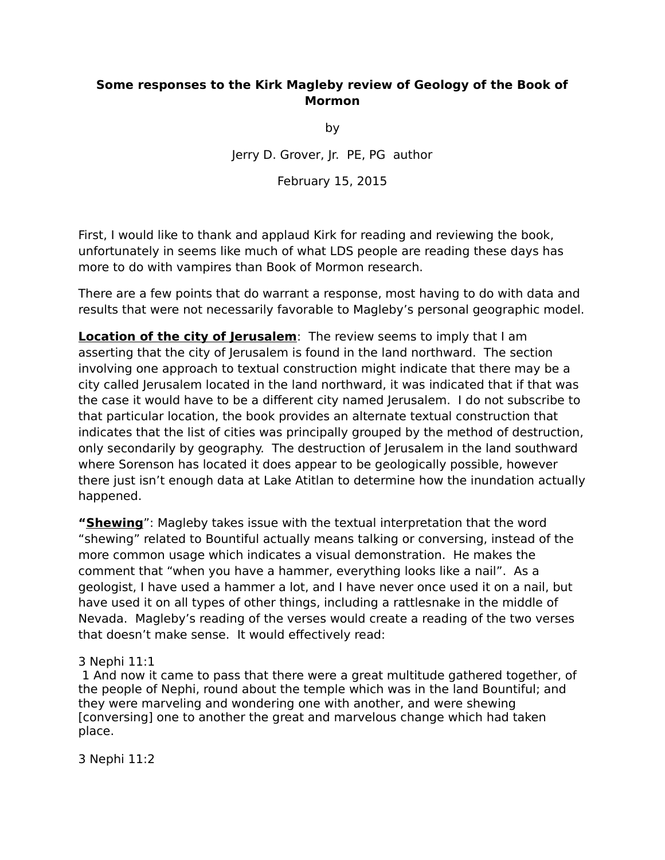## **Some responses to the Kirk Magleby review of Geology of the Book of Mormon**

by

Jerry D. Grover, Jr. PE, PG author

February 15, 2015

First, I would like to thank and applaud Kirk for reading and reviewing the book, unfortunately in seems like much of what LDS people are reading these days has more to do with vampires than Book of Mormon research.

There are a few points that do warrant a response, most having to do with data and results that were not necessarily favorable to Magleby's personal geographic model.

**Location of the city of Jerusalem**: The review seems to imply that I am asserting that the city of Jerusalem is found in the land northward. The section involving one approach to textual construction might indicate that there may be a city called Jerusalem located in the land northward, it was indicated that if that was the case it would have to be a different city named Jerusalem. I do not subscribe to that particular location, the book provides an alternate textual construction that indicates that the list of cities was principally grouped by the method of destruction, only secondarily by geography. The destruction of Jerusalem in the land southward where Sorenson has located it does appear to be geologically possible, however there just isn't enough data at Lake Atitlan to determine how the inundation actually happened.

**"Shewing**": Magleby takes issue with the textual interpretation that the word "shewing" related to Bountiful actually means talking or conversing, instead of the more common usage which indicates a visual demonstration. He makes the comment that "when you have a hammer, everything looks like a nail". As a geologist, I have used a hammer a lot, and I have never once used it on a nail, but have used it on all types of other things, including a rattlesnake in the middle of Nevada. Magleby's reading of the verses would create a reading of the two verses that doesn't make sense. It would effectively read:

3 Nephi 11:1

 1 And now it came to pass that there were a great multitude gathered together, of the people of Nephi, round about the temple which was in the land Bountiful; and they were marveling and wondering one with another, and were shewing [conversing] one to another the great and marvelous change which had taken place.

3 Nephi 11:2